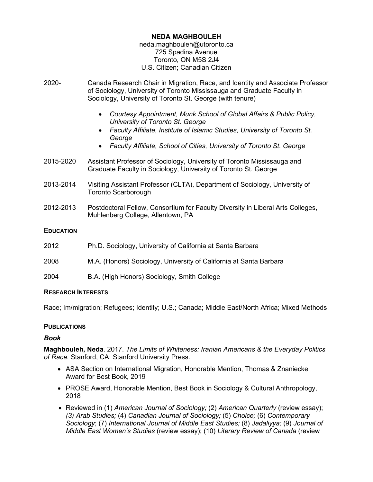# **NEDA MAGHBOULEH**

#### neda.maghbouleh@utoronto.ca 725 Spadina Avenue Toronto, ON M5S 2J4 U.S. Citizen; Canadian Citizen

- 2020- Canada Research Chair in Migration, Race, and Identity and Associate Professor of Sociology, University of Toronto Mississauga and Graduate Faculty in Sociology, University of Toronto St. George (with tenure)
	- *Courtesy Appointment, Munk School of Global Affairs & Public Policy, University of Toronto St. George*
	- *Faculty Affiliate, Institute of Islamic Studies, University of Toronto St. George*
	- *Faculty Affiliate, School of Cities, University of Toronto St. George*
- 2015-2020 Assistant Professor of Sociology, University of Toronto Mississauga and Graduate Faculty in Sociology, University of Toronto St. George
- 2013-2014 Visiting Assistant Professor (CLTA), Department of Sociology, University of Toronto Scarborough
- 2012-2013 Postdoctoral Fellow, Consortium for Faculty Diversity in Liberal Arts Colleges, Muhlenberg College, Allentown, PA

# **EDUCATION**

- 2012 Ph.D. Sociology, University of California at Santa Barbara
- 2008 M.A. (Honors) Sociology, University of California at Santa Barbara
- 2004 B.A. (High Honors) Sociology, Smith College

#### **RESEARCH INTERESTS**

Race; Im/migration; Refugees; Identity; U.S.; Canada; Middle East/North Africa; Mixed Methods

# **PUBLICATIONS**

# *Book*

**Maghbouleh, Neda**. 2017. *The Limits of Whiteness: Iranian Americans & the Everyday Politics of Race*. Stanford, CA: Stanford University Press.

- ASA Section on International Migration, Honorable Mention, Thomas & Znaniecke Award for Best Book, 2019
- PROSE Award, Honorable Mention, Best Book in Sociology & Cultural Anthropology, 2018
- Reviewed in (1) *American Journal of Sociology;* (2) *American Quarterly* (review essay); *(3) Arab Studies;* (4) *Canadian Journal of Sociology;* (5) *Choice;* (6) *Contemporary Sociology*; (7) *International Journal of Middle East Studies;* (8) *Jadaliyya;* (9) *Journal of Middle East Women's Studies* (review essay); (10) *Literary Review of Canada* (review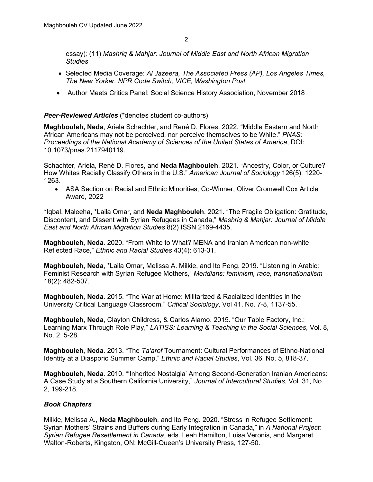essay)*;* (11) *Mashriq & Mahjar: Journal of Middle East and North African Migration Studies*

- Selected Media Coverage: *Al Jazeera, The Associated Press (AP), Los Angeles Times, The New Yorker, NPR Code Switch, VICE, Washington Post*
- Author Meets Critics Panel: Social Science History Association, November 2018

# *Peer-Reviewed Articles* (\*denotes student co-authors)

**Maghbouleh, Neda**, Ariela Schachter, and René D. Flores. 2022. "Middle Eastern and North African Americans may not be perceived, nor perceive themselves to be White." *PNAS: Proceedings of the National Academy of Sciences of the United States of America*, DOI: 10.1073/pnas.2117940119.

Schachter, Ariela, René D. Flores, and **Neda Maghbouleh**. 2021. "Ancestry, Color, or Culture? How Whites Racially Classify Others in the U.S." *American Journal of Sociology* 126(5): 1220- 1263.

• ASA Section on Racial and Ethnic Minorities, Co-Winner, Oliver Cromwell Cox Article Award, 2022

\*Iqbal, Maleeha, \*Laila Omar, and **Neda Maghbouleh**. 2021. "The Fragile Obligation: Gratitude, Discontent, and Dissent with Syrian Refugees in Canada," *Mashriq & Mahjar: Journal of Middle East and North African Migration Studies* 8(2) ISSN 2169-4435.

**Maghbouleh, Neda**. 2020. "From White to What? MENA and Iranian American non-white Reflected Race," *Ethnic and Racial Studies* 43(4): 613-31.

**Maghbouleh, Neda**, \*Laila Omar, Melissa A. Milkie, and Ito Peng. 2019. "Listening in Arabic: Feminist Research with Syrian Refugee Mothers," *Meridians: feminism, race, transnationalism* 18(2): 482-507.

**Maghbouleh, Neda**. 2015. "The War at Home: Militarized & Racialized Identities in the University Critical Language Classroom," *Critical Sociology*, Vol 41, No. 7-8, 1137-55.

**Maghbouleh, Neda**, Clayton Childress, & Carlos Alamo. 2015. "Our Table Factory, Inc.: Learning Marx Through Role Play," *LATISS: Learning & Teaching in the Social Sciences*, Vol. 8, No. 2, 5-28.

**Maghbouleh, Neda**. 2013. "The *Ta'arof* Tournament: Cultural Performances of Ethno-National Identity at a Diasporic Summer Camp," *Ethnic and Racial Studies*, Vol. 36, No. 5, 818-37.

**Maghbouleh, Neda**. 2010. "'Inherited Nostalgia' Among Second-Generation Iranian Americans: A Case Study at a Southern California University," *Journal of Intercultural Studies*, Vol. 31, No. 2, 199-218.

# *Book Chapters*

Milkie, Melissa A., **Neda Maghbouleh**, and Ito Peng. 2020. "Stress in Refugee Settlement: Syrian Mothers' Strains and Buffers during Early Integration in Canada," in *A National Project: Syrian Refugee Resettlement in Canada*, eds. Leah Hamilton, Luisa Veronis, and Margaret Walton-Roberts, Kingston, ON: McGill-Queen's University Press, 127-50.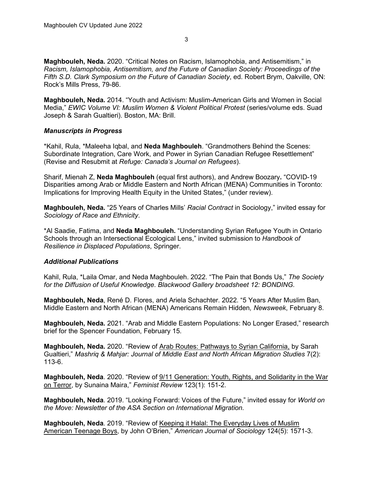**Maghbouleh, Neda.** 2020. "Critical Notes on Racism, Islamophobia, and Antisemitism," in *Racism, Islamophobia, Antisemitism, and the Future of Canadian Society: Proceedings of the Fifth S.D. Clark Symposium on the Future of Canadian Society*, ed. Robert Brym, Oakville, ON: Rock's Mills Press, 79-86.

**Maghbouleh, Neda.** 2014. "Youth and Activism: Muslim-American Girls and Women in Social Media," *EWIC Volume VI: Muslim Women & Violent Political Protest* (series/volume eds. Suad Joseph & Sarah Gualtieri). Boston, MA: Brill.

#### *Manuscripts in Progress*

\*Kahil, Rula, \*Maleeha Iqbal, and **Neda Maghbouleh**. "Grandmothers Behind the Scenes: Subordinate Integration, Care Work, and Power in Syrian Canadian Refugee Resettlement" (Revise and Resubmit at *Refuge: Canada's Journal on Refugees*).

Sharif, Mienah Z, **Neda Maghbouleh** (equal first authors), and Andrew Boozary**.** "COVID-19 Disparities among Arab or Middle Eastern and North African (MENA) Communities in Toronto: Implications for Improving Health Equity in the United States," (under review).

**Maghbouleh, Neda.** "25 Years of Charles Mills' *Racial Contract* in Sociology," invited essay for *Sociology of Race and Ethnicity*.

\*Al Saadie, Fatima, and **Neda Maghbouleh.** "Understanding Syrian Refugee Youth in Ontario Schools through an Intersectional Ecological Lens," invited submission to *Handbook of Resilience in Displaced Populations*, Springer.

#### *Additional Publications*

Kahil, Rula, \*Laila Omar, and Neda Maghbouleh. 2022. "The Pain that Bonds Us," *The Society for the Diffusion of Useful Knowledge*. *Blackwood Gallery broadsheet 12: BONDING.* 

**Maghbouleh, Neda**, René D. Flores, and Ariela Schachter. 2022. "5 Years After Muslim Ban, Middle Eastern and North African (MENA) Americans Remain Hidden*, Newsweek*, February 8.

**Maghbouleh, Neda.** 2021. "Arab and Middle Eastern Populations: No Longer Erased," research brief for the Spencer Foundation, February 15.

**Maghbouleh, Neda.** 2020. "Review of Arab Routes: Pathways to Syrian California, by Sarah Gualtieri," *Mashriq & Mahjar: Journal of Middle East and North African Migration Studies* 7(2): 113-6.

**Maghbouleh, Neda**. 2020. "Review of 9/11 Generation: Youth, Rights, and Solidarity in the War on Terror, by Sunaina Maira," *Feminist Review* 123(1): 151-2.

**Maghbouleh, Neda**. 2019. "Looking Forward: Voices of the Future," invited essay for *World on the Move: Newsletter of the ASA Section on International Migration.* 

**Maghbouleh, Neda**. 2019. "Review of Keeping it Halal: The Everyday Lives of Muslim American Teenage Boys, by John O'Brien," *American Journal of Sociology* 124(5): 1571-3.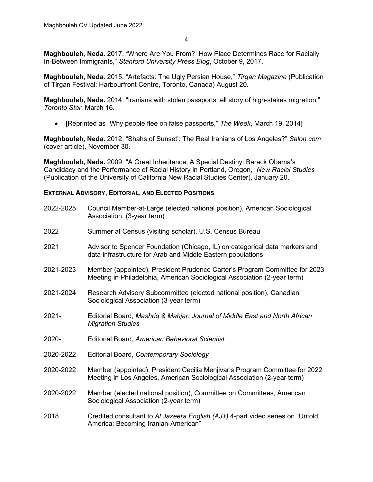4

**Maghbouleh, Neda.** 2017. "Where Are You From? How Place Determines Race for Racially In-Between Immigrants," *Stanford University Press Blog*, October 9, 2017.

**Maghbouleh, Neda.** 2015. "Artefacts: The Ugly Persian House," *Tirgan Magazine* (Publication of Tirgan Festival: Harbourfront Centre, Toronto, Canada) August 20.

**Maghbouleh, Neda.** 2014. "Iranians with stolen passports tell story of high-stakes migration," *Toronto Star*, March 16.

• [Reprinted as "Why people flee on false passports," *The Week*, March 19, 2014]

**Maghbouleh, Neda.** 2012. "Shahs of Sunset': The Real Iranians of Los Angeles?" *Salon.com*  (cover article), November 30.

**Maghbouleh, Neda.** 2009. "A Great Inheritance, A Special Destiny: Barack Obama's Candidacy and the Performance of Racial History in Portland, Oregon," *New Racial Studies*  (Publication of the University of California New Racial Studies Center), January 20.

# **EXTERNAL ADVISORY, EDITORIAL, AND ELECTED POSITIONS**

| 2022-2025 | Council Member-at-Large (elected national position), American Sociological<br>Association, (3-year term)                                               |
|-----------|--------------------------------------------------------------------------------------------------------------------------------------------------------|
| 2022      | Summer at Census (visiting scholar), U.S. Census Bureau                                                                                                |
| 2021      | Advisor to Spencer Foundation (Chicago, IL) on categorical data markers and<br>data infrastructure for Arab and Middle Eastern populations             |
| 2021-2023 | Member (appointed), President Prudence Carter's Program Committee for 2023<br>Meeting in Philadelphia, American Sociological Association (2-year term) |
| 2021-2024 | Research Advisory Subcommittee (elected national position), Canadian<br>Sociological Association (3-year term)                                         |
| $2021 -$  | Editorial Board, Mashrig & Mahjar: Journal of Middle East and North African<br><b>Migration Studies</b>                                                |
| 2020-     | Editorial Board, American Behavioral Scientist                                                                                                         |
| 2020-2022 | Editorial Board, Contemporary Sociology                                                                                                                |
| 2020-2022 | Member (appointed), President Cecilia Menjivar's Program Committee for 2022<br>Meeting in Los Angeles, American Sociological Association (2-year term) |
| 2020-2022 | Member (elected national position), Committee on Committees, American<br>Sociological Association (2-year term)                                        |
| 2018      | Credited consultant to AI Jazeera English (AJ+) 4-part video series on "Untold<br>America: Becoming Iranian-American"                                  |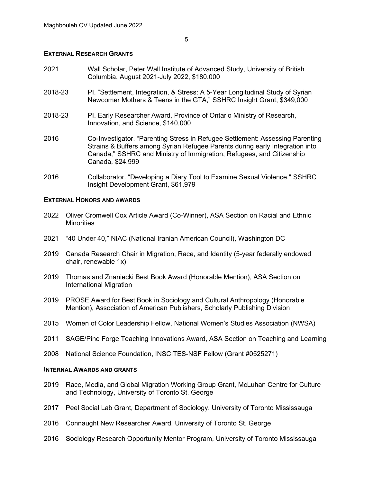#### **EXTERNAL RESEARCH GRANTS**

- 2021 Wall Scholar, Peter Wall Institute of Advanced Study, University of British Columbia, August 2021-July 2022, \$180,000
- 2018-23 PI. "Settlement, Integration, & Stress: A 5-Year Longitudinal Study of Syrian Newcomer Mothers & Teens in the GTA," SSHRC Insight Grant, \$349,000
- 2018-23 PI. Early Researcher Award, Province of Ontario Ministry of Research, Innovation, and Science, \$140,000
- 2016 Co-Investigator. "Parenting Stress in Refugee Settlement: Assessing Parenting Strains & Buffers among Syrian Refugee Parents during early Integration into Canada," SSHRC and Ministry of Immigration, Refugees, and Citizenship Canada, \$24,999
- 2016 Collaborator. "Developing a Diary Tool to Examine Sexual Violence," SSHRC Insight Development Grant, \$61,979

#### **EXTERNAL HONORS AND AWARDS**

- 2022 Oliver Cromwell Cox Article Award (Co-Winner), ASA Section on Racial and Ethnic **Minorities**
- 2021 "40 Under 40," NIAC (National Iranian American Council), Washington DC
- 2019 Canada Research Chair in Migration, Race, and Identity (5-year federally endowed chair, renewable 1x)
- 2019 Thomas and Znaniecki Best Book Award (Honorable Mention), ASA Section on International Migration
- 2019 PROSE Award for Best Book in Sociology and Cultural Anthropology (Honorable Mention), Association of American Publishers, Scholarly Publishing Division
- 2015 Women of Color Leadership Fellow, National Women's Studies Association (NWSA)
- 2011 SAGE/Pine Forge Teaching Innovations Award, ASA Section on Teaching and Learning
- 2008 National Science Foundation, INSCITES-NSF Fellow (Grant #0525271)

#### **INTERNAL AWARDS AND GRANTS**

- 2019 Race, Media, and Global Migration Working Group Grant, McLuhan Centre for Culture and Technology, University of Toronto St. George
- 2017 Peel Social Lab Grant, Department of Sociology, University of Toronto Mississauga
- 2016 Connaught New Researcher Award, University of Toronto St. George
- 2016 Sociology Research Opportunity Mentor Program, University of Toronto Mississauga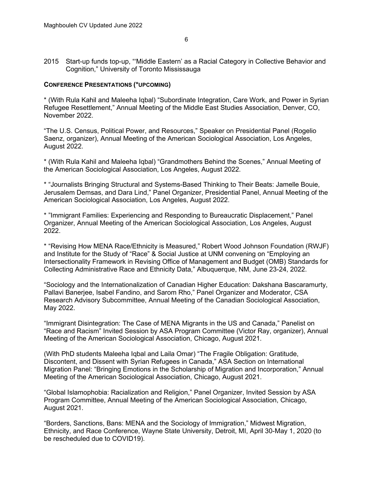2015 Start-up funds top-up, "'Middle Eastern' as a Racial Category in Collective Behavior and Cognition," University of Toronto Mississauga

#### **CONFERENCE PRESENTATIONS (\*UPCOMING)**

\* (With Rula Kahil and Maleeha Iqbal) "Subordinate Integration, Care Work, and Power in Syrian Refugee Resettlement," Annual Meeting of the Middle East Studies Association, Denver, CO, November 2022.

"The U.S. Census, Political Power, and Resources," Speaker on Presidential Panel (Rogelio Saenz, organizer), Annual Meeting of the American Sociological Association, Los Angeles, August 2022.

\* (With Rula Kahil and Maleeha Iqbal) "Grandmothers Behind the Scenes," Annual Meeting of the American Sociological Association, Los Angeles, August 2022.

\* "Journalists Bringing Structural and Systems-Based Thinking to Their Beats: Jamelle Bouie, Jerusalem Demsas, and Dara Lind," Panel Organizer, Presidential Panel, Annual Meeting of the American Sociological Association, Los Angeles, August 2022.

\* "Immigrant Families: Experiencing and Responding to Bureaucratic Displacement," Panel Organizer, Annual Meeting of the American Sociological Association, Los Angeles, August 2022.

\* "Revising How MENA Race/Ethnicity is Measured," Robert Wood Johnson Foundation (RWJF) and Institute for the Study of "Race" & Social Justice at UNM convening on "Employing an Intersectionality Framework in Revising Office of Management and Budget (OMB) Standards for Collecting Administrative Race and Ethnicity Data," Albuquerque, NM, June 23-24, 2022.

"Sociology and the Internationalization of Canadian Higher Education: Dakshana Bascaramurty, Pallavi Banerjee, Isabel Fandino, and Sarom Rho," Panel Organizer and Moderator, CSA Research Advisory Subcommittee, Annual Meeting of the Canadian Sociological Association, May 2022.

"Immigrant Disintegration: The Case of MENA Migrants in the US and Canada," Panelist on "Race and Racism" Invited Session by ASA Program Committee (Victor Ray, organizer), Annual Meeting of the American Sociological Association, Chicago, August 2021.

(With PhD students Maleeha Iqbal and Laila Omar) "The Fragile Obligation: Gratitude, Discontent, and Dissent with Syrian Refugees in Canada," ASA Section on International Migration Panel: "Bringing Emotions in the Scholarship of Migration and Incorporation," Annual Meeting of the American Sociological Association, Chicago, August 2021.

"Global Islamophobia: Racialization and Religion," Panel Organizer, Invited Session by ASA Program Committee, Annual Meeting of the American Sociological Association, Chicago, August 2021.

"Borders, Sanctions, Bans: MENA and the Sociology of Immigration," Midwest Migration, Ethnicity, and Race Conference, Wayne State University, Detroit, MI, April 30-May 1, 2020 (to be rescheduled due to COVID19).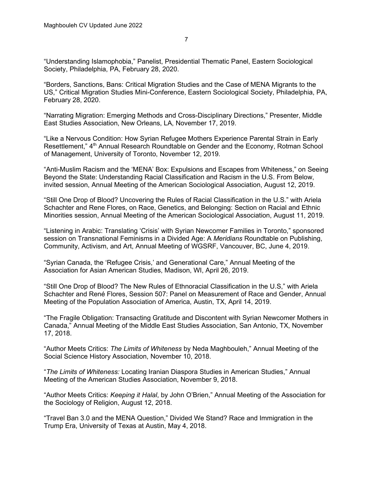"Understanding Islamophobia," Panelist, Presidential Thematic Panel, Eastern Sociological Society, Philadelphia, PA, February 28, 2020.

"Borders, Sanctions, Bans: Critical Migration Studies and the Case of MENA Migrants to the US," Critical Migration Studies Mini-Conference, Eastern Sociological Society, Philadelphia, PA, February 28, 2020.

"Narrating Migration: Emerging Methods and Cross-Disciplinary Directions," Presenter, Middle East Studies Association, New Orleans, LA, November 17, 2019.

"Like a Nervous Condition: How Syrian Refugee Mothers Experience Parental Strain in Early Resettlement," 4<sup>th</sup> Annual Research Roundtable on Gender and the Economy, Rotman School of Management, University of Toronto, November 12, 2019.

"Anti-Muslim Racism and the 'MENA' Box: Expulsions and Escapes from Whiteness," on Seeing Beyond the State: Understanding Racial Classification and Racism in the U.S. From Below, invited session, Annual Meeting of the American Sociological Association, August 12, 2019.

"Still One Drop of Blood? Uncovering the Rules of Racial Classification in the U.S." with Ariela Schachter and Rene Flores, on Race, Genetics, and Belonging: Section on Racial and Ethnic Minorities session, Annual Meeting of the American Sociological Association, August 11, 2019.

"Listening in Arabic: Translating 'Crisis' with Syrian Newcomer Families in Toronto," sponsored session on Transnational Feminisms in a Divided Age: A *Meridians* Roundtable on Publishing, Community, Activism, and Art, Annual Meeting of WGSRF, Vancouver, BC, June 4, 2019.

"Syrian Canada, the 'Refugee Crisis,' and Generational Care," Annual Meeting of the Association for Asian American Studies, Madison, WI, April 26, 2019.

"Still One Drop of Blood? The New Rules of Ethnoracial Classification in the U.S," with Ariela Schachter and René Flores, Session 507: Panel on Measurement of Race and Gender, Annual Meeting of the Population Association of America, Austin, TX, April 14, 2019.

"The Fragile Obligation: Transacting Gratitude and Discontent with Syrian Newcomer Mothers in Canada," Annual Meeting of the Middle East Studies Association, San Antonio, TX, November 17, 2018.

"Author Meets Critics: *The Limits of Whiteness* by Neda Maghbouleh," Annual Meeting of the Social Science History Association, November 10, 2018.

"*The Limits of Whiteness:* Locating Iranian Diaspora Studies in American Studies," Annual Meeting of the American Studies Association, November 9, 2018.

"Author Meets Critics: *Keeping it Halal*, by John O'Brien," Annual Meeting of the Association for the Sociology of Religion, August 12, 2018.

"Travel Ban 3.0 and the MENA Question," Divided We Stand? Race and Immigration in the Trump Era, University of Texas at Austin, May 4, 2018.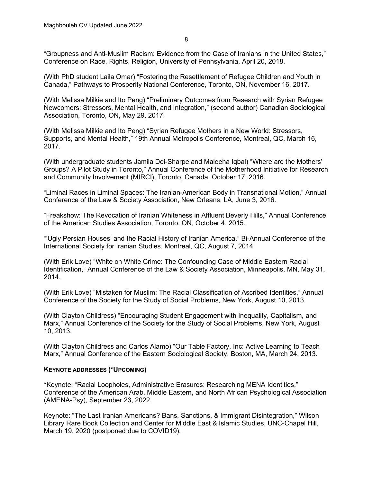"Groupness and Anti-Muslim Racism: Evidence from the Case of Iranians in the United States," Conference on Race, Rights, Religion, University of Pennsylvania, April 20, 2018.

(With PhD student Laila Omar) "Fostering the Resettlement of Refugee Children and Youth in Canada," Pathways to Prosperity National Conference, Toronto, ON, November 16, 2017.

(With Melissa Milkie and Ito Peng) "Preliminary Outcomes from Research with Syrian Refugee Newcomers: Stressors, Mental Health, and Integration," (second author) Canadian Sociological Association, Toronto, ON, May 29, 2017.

(With Melissa Milkie and Ito Peng) "Syrian Refugee Mothers in a New World: Stressors, Supports, and Mental Health," 19th Annual Metropolis Conference, Montreal, QC, March 16, 2017.

(With undergraduate students Jamila Dei-Sharpe and Maleeha Iqbal) "Where are the Mothers' Groups? A Pilot Study in Toronto," Annual Conference of the Motherhood Initiative for Research and Community Involvement (MIRCI), Toronto, Canada, October 17, 2016.

"Liminal Races in Liminal Spaces: The Iranian-American Body in Transnational Motion," Annual Conference of the Law & Society Association, New Orleans, LA, June 3, 2016.

"Freakshow: The Revocation of Iranian Whiteness in Affluent Beverly Hills," Annual Conference of the American Studies Association, Toronto, ON, October 4, 2015.

"'Ugly Persian Houses' and the Racial History of Iranian America," Bi-Annual Conference of the International Society for Iranian Studies, Montreal, QC, August 7, 2014.

(With Erik Love) "White on White Crime: The Confounding Case of Middle Eastern Racial Identification," Annual Conference of the Law & Society Association, Minneapolis, MN, May 31, 2014.

(With Erik Love) "Mistaken for Muslim: The Racial Classification of Ascribed Identities," Annual Conference of the Society for the Study of Social Problems, New York, August 10, 2013.

(With Clayton Childress) "Encouraging Student Engagement with Inequality, Capitalism, and Marx," Annual Conference of the Society for the Study of Social Problems, New York, August 10, 2013.

(With Clayton Childress and Carlos Alamo) "Our Table Factory, Inc: Active Learning to Teach Marx," Annual Conference of the Eastern Sociological Society, Boston, MA, March 24, 2013.

# **KEYNOTE ADDRESSES (\*UPCOMING)**

\*Keynote: "Racial Loopholes, Administrative Erasures: Researching MENA Identities," Conference of the American Arab, Middle Eastern, and North African Psychological Association (AMENA-Psy), September 23, 2022.

Keynote: "The Last Iranian Americans? Bans, Sanctions, & Immigrant Disintegration," Wilson Library Rare Book Collection and Center for Middle East & Islamic Studies, UNC-Chapel Hill, March 19, 2020 (postponed due to COVID19).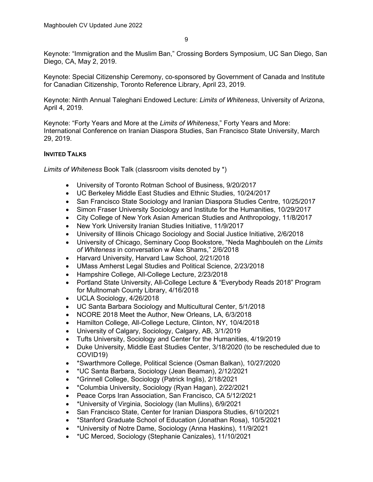Keynote: "Immigration and the Muslim Ban," Crossing Borders Symposium, UC San Diego, San Diego, CA, May 2, 2019.

Keynote: Special Citizenship Ceremony, co-sponsored by Government of Canada and Institute for Canadian Citizenship, Toronto Reference Library, April 23, 2019.

Keynote: Ninth Annual Taleghani Endowed Lecture: *Limits of Whiteness*, University of Arizona, April 4, 2019.

Keynote: "Forty Years and More at the *Limits of Whiteness*," Forty Years and More: International Conference on Iranian Diaspora Studies, San Francisco State University, March 29, 2019.

# **INVITED TALKS**

*Limits of Whiteness* Book Talk (classroom visits denoted by \*)

- University of Toronto Rotman School of Business, 9/20/2017
- UC Berkeley Middle East Studies and Ethnic Studies, 10/24/2017
- San Francisco State Sociology and Iranian Diaspora Studies Centre, 10/25/2017
- Simon Fraser University Sociology and Institute for the Humanities, 10/29/2017
- City College of New York Asian American Studies and Anthropology, 11/8/2017
- New York University Iranian Studies Initiative, 11/9/2017
- University of Illinois Chicago Sociology and Social Justice Initiative, 2/6/2018
- University of Chicago, Seminary Coop Bookstore, "Neda Maghbouleh on the *Limits of Whiteness* in conversation w Alex Shams," 2/6/2018
- Harvard University, Harvard Law School, 2/21/2018
- UMass Amherst Legal Studies and Political Science, 2/23/2018
- Hampshire College, All-College Lecture, 2/23/2018
- Portland State University, All-College Lecture & "Everybody Reads 2018" Program for Multnomah County Library, 4/16/2018
- UCLA Sociology, 4/26/2018
- UC Santa Barbara Sociology and Multicultural Center, 5/1/2018
- NCORE 2018 Meet the Author, New Orleans, LA, 6/3/2018
- Hamilton College, All-College Lecture, Clinton, NY, 10/4/2018
- University of Calgary, Sociology, Calgary, AB, 3/1/2019
- Tufts University, Sociology and Center for the Humanities, 4/19/2019
- Duke University, Middle East Studies Center, 3/18/2020 (to be rescheduled due to COVID19)
- \*Swarthmore College, Political Science (Osman Balkan), 10/27/2020
- \*UC Santa Barbara, Sociology (Jean Beaman), 2/12/2021
- \*Grinnell College, Sociology (Patrick Inglis), 2/18/2021
- \*Columbia University, Sociology (Ryan Hagan), 2/22/2021
- Peace Corps Iran Association, San Francisco, CA 5/12/2021
- \*University of Virginia, Sociology (Ian Mullins), 6/9/2021
- San Francisco State, Center for Iranian Diaspora Studies, 6/10/2021
- \*Stanford Graduate School of Education (Jonathan Rosa), 10/5/2021
- \*University of Notre Dame, Sociology (Anna Haskins), 11/9/2021
- \*UC Merced, Sociology (Stephanie Canizales), 11/10/2021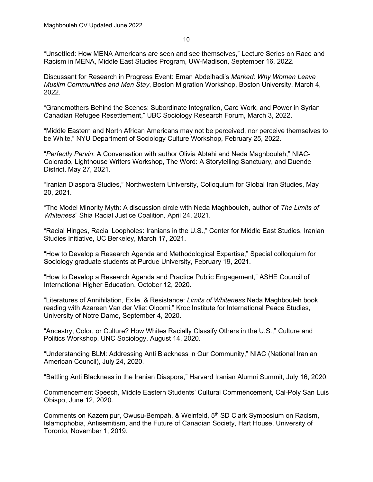10

"Unsettled: How MENA Americans are seen and see themselves," Lecture Series on Race and Racism in MENA, Middle East Studies Program, UW-Madison, September 16, 2022.

Discussant for Research in Progress Event: Eman Abdelhadi's *Marked: Why Women Leave Muslim Communities and Men Stay*, Boston Migration Workshop, Boston University, March 4, 2022.

"Grandmothers Behind the Scenes: Subordinate Integration, Care Work, and Power in Syrian Canadian Refugee Resettlement," UBC Sociology Research Forum, March 3, 2022.

"Middle Eastern and North African Americans may not be perceived, nor perceive themselves to be White," NYU Department of Sociology Culture Workshop, February 25, 2022.

"*Perfectly Parvin*: A Conversation with author Olivia Abtahi and Neda Maghbouleh," NIAC-Colorado, Lighthouse Writers Workshop, The Word: A Storytelling Sanctuary, and Duende District, May 27, 2021.

"Iranian Diaspora Studies," Northwestern University, Colloquium for Global Iran Studies, May 20, 2021.

"The Model Minority Myth: A discussion circle with Neda Maghbouleh, author of *The Limits of Whiteness*" Shia Racial Justice Coalition*,* April 24, 2021.

"Racial Hinges, Racial Loopholes: Iranians in the U.S.," Center for Middle East Studies, Iranian Studies Initiative, UC Berkeley, March 17, 2021.

"How to Develop a Research Agenda and Methodological Expertise," Special colloquium for Sociology graduate students at Purdue University, February 19, 2021.

"How to Develop a Research Agenda and Practice Public Engagement," ASHE Council of International Higher Education, October 12, 2020.

"Literatures of Annihilation, Exile, & Resistance: *Limits of Whiteness* Neda Maghbouleh book reading with Azareen Van der Vliet Oloomi," Kroc Institute for International Peace Studies, University of Notre Dame, September 4, 2020.

"Ancestry, Color, or Culture? How Whites Racially Classify Others in the U.S.," Culture and Politics Workshop, UNC Sociology, August 14, 2020.

"Understanding BLM: Addressing Anti Blackness in Our Community," NIAC (National Iranian American Council), July 24, 2020.

"Battling Anti Blackness in the Iranian Diaspora," Harvard Iranian Alumni Summit, July 16, 2020.

Commencement Speech, Middle Eastern Students' Cultural Commencement, Cal-Poly San Luis Obispo, June 12, 2020.

Comments on Kazemipur, Owusu-Bempah, & Weinfeld, 5<sup>th</sup> SD Clark Symposium on Racism, Islamophobia, Antisemitism, and the Future of Canadian Society, Hart House, University of Toronto, November 1, 2019.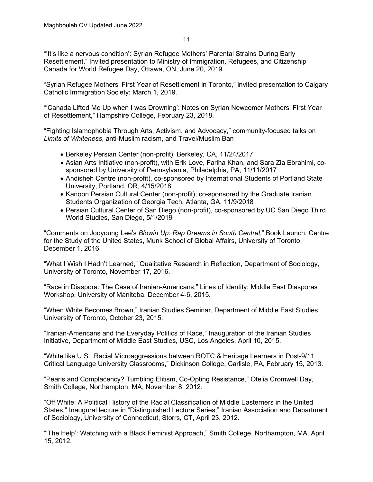"'It's like a nervous condition': Syrian Refugee Mothers' Parental Strains During Early Resettlement," Invited presentation to Ministry of Immigration, Refugees, and Citizenship Canada for World Refugee Day, Ottawa, ON, June 20, 2019.

"Syrian Refugee Mothers' First Year of Resettlement in Toronto," invited presentation to Calgary Catholic Immigration Society: March 1, 2019.

"'Canada Lifted Me Up when I was Drowning': Notes on Syrian Newcomer Mothers' First Year of Resettlement," Hampshire College, February 23, 2018.

"Fighting Islamophobia Through Arts, Activism, and Advocacy," community-focused talks on *Limits of Whiteness*, anti-Muslim racism, and Travel/Muslim Ban

- Berkeley Persian Center (non-profit), Berkeley, CA, 11/24/2017
- Asian Arts Initiative (non-profit), with Erik Love, Fariha Khan, and Sara Zia Ebrahimi, cosponsored by University of Pennsylvania, Philadelphia, PA, 11/11/2017
- Andisheh Centre (non-profit), co-sponsored by International Students of Portland State University, Portland, OR, 4/15/2018
- Kanoon Persian Cultural Center (non-profit), co-sponsored by the Graduate Iranian Students Organization of Georgia Tech, Atlanta, GA, 11/9/2018
- Persian Cultural Center of San Diego (non-profit), co-sponsored by UC San Diego Third World Studies, San Diego, 5/1/2019

"Comments on Jooyoung Lee's *Blowin Up: Rap Dreams in South Central*," Book Launch, Centre for the Study of the United States, Munk School of Global Affairs, University of Toronto, December 1, 2016.

"What I Wish I Hadn't Learned," Qualitative Research in Reflection, Department of Sociology, University of Toronto, November 17, 2016.

"Race in Diaspora: The Case of Iranian-Americans," Lines of Identity: Middle East Diasporas Workshop, University of Manitoba, December 4-6, 2015.

"When White Becomes Brown," Iranian Studies Seminar, Department of Middle East Studies, University of Toronto, October 23, 2015.

"Iranian-Americans and the Everyday Politics of Race," Inauguration of the Iranian Studies Initiative, Department of Middle East Studies, USC, Los Angeles, April 10, 2015.

"White like U.S.: Racial Microaggressions between ROTC & Heritage Learners in Post-9/11 Critical Language University Classrooms," Dickinson College, Carlisle, PA, February 15, 2013.

"Pearls and Complacency? Tumbling Elitism, Co-Opting Resistance," Otelia Cromwell Day, Smith College, Northampton, MA, November 8, 2012.

"Off White: A Political History of the Racial Classification of Middle Easterners in the United States," Inaugural lecture in "Distinguished Lecture Series," Iranian Association and Department of Sociology, University of Connecticut, Storrs, CT, April 23, 2012.

"'The Help': Watching with a Black Feminist Approach," Smith College, Northampton, MA, April 15, 2012.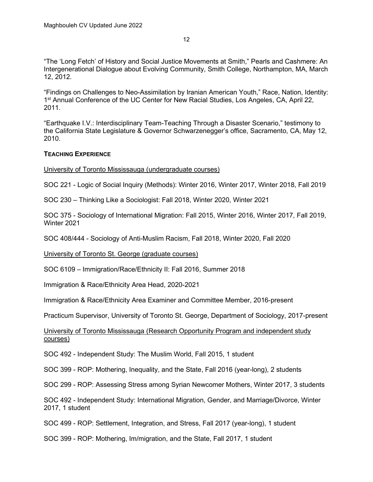"The 'Long Fetch' of History and Social Justice Movements at Smith," Pearls and Cashmere: An Intergenerational Dialogue about Evolving Community, Smith College, Northampton, MA, March 12, 2012.

"Findings on Challenges to Neo-Assimilation by Iranian American Youth," Race, Nation, Identity: 1<sup>st</sup> Annual Conference of the UC Center for New Racial Studies, Los Angeles, CA, April 22, 2011.

"Earthquake I.V.: Interdisciplinary Team-Teaching Through a Disaster Scenario," testimony to the California State Legislature & Governor Schwarzenegger's office, Sacramento, CA, May 12, 2010.

# **TEACHING EXPERIENCE**

University of Toronto Mississauga (undergraduate courses)

SOC 221 - Logic of Social Inquiry (Methods): Winter 2016, Winter 2017, Winter 2018, Fall 2019

SOC 230 – Thinking Like a Sociologist: Fall 2018, Winter 2020, Winter 2021

SOC 375 - Sociology of International Migration: Fall 2015, Winter 2016, Winter 2017, Fall 2019, Winter 2021

SOC 408/444 - Sociology of Anti-Muslim Racism, Fall 2018, Winter 2020, Fall 2020

University of Toronto St. George (graduate courses)

SOC 6109 – Immigration/Race/Ethnicity II: Fall 2016, Summer 2018

Immigration & Race/Ethnicity Area Head, 2020-2021

Immigration & Race/Ethnicity Area Examiner and Committee Member, 2016-present

Practicum Supervisor, University of Toronto St. George, Department of Sociology, 2017-present

# University of Toronto Mississauga (Research Opportunity Program and independent study courses)

SOC 492 - Independent Study: The Muslim World, Fall 2015, 1 student

SOC 399 - ROP: Mothering, Inequality, and the State, Fall 2016 (year-long), 2 students

SOC 299 - ROP: Assessing Stress among Syrian Newcomer Mothers, Winter 2017, 3 students

SOC 492 - Independent Study: International Migration, Gender, and Marriage/Divorce, Winter 2017, 1 student

SOC 499 - ROP: Settlement, Integration, and Stress, Fall 2017 (year-long), 1 student

SOC 399 - ROP: Mothering, Im/migration, and the State, Fall 2017, 1 student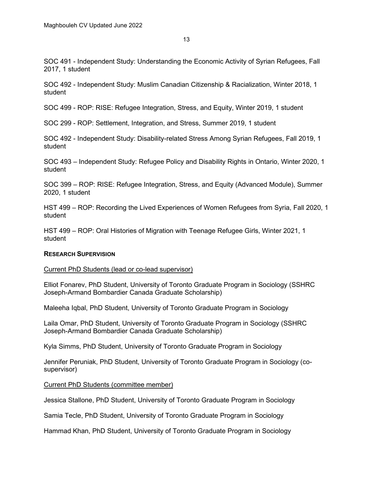SOC 491 - Independent Study: Understanding the Economic Activity of Syrian Refugees, Fall 2017, 1 student

SOC 492 - Independent Study: Muslim Canadian Citizenship & Racialization, Winter 2018, 1 student

SOC 499 - ROP: RISE: Refugee Integration, Stress, and Equity, Winter 2019, 1 student

SOC 299 - ROP: Settlement, Integration, and Stress, Summer 2019, 1 student

SOC 492 - Independent Study: Disability-related Stress Among Syrian Refugees, Fall 2019, 1 student

SOC 493 – Independent Study: Refugee Policy and Disability Rights in Ontario, Winter 2020, 1 student

SOC 399 – ROP: RISE: Refugee Integration, Stress, and Equity (Advanced Module), Summer 2020, 1 student

HST 499 – ROP: Recording the Lived Experiences of Women Refugees from Syria, Fall 2020, 1 student

HST 499 – ROP: Oral Histories of Migration with Teenage Refugee Girls, Winter 2021, 1 student

# **RESEARCH SUPERVISION**

#### Current PhD Students (lead or co-lead supervisor)

Elliot Fonarev, PhD Student, University of Toronto Graduate Program in Sociology (SSHRC Joseph-Armand Bombardier Canada Graduate Scholarship)

Maleeha Iqbal, PhD Student, University of Toronto Graduate Program in Sociology

Laila Omar, PhD Student, University of Toronto Graduate Program in Sociology (SSHRC Joseph-Armand Bombardier Canada Graduate Scholarship)

Kyla Simms, PhD Student, University of Toronto Graduate Program in Sociology

Jennifer Peruniak, PhD Student, University of Toronto Graduate Program in Sociology (cosupervisor)

#### Current PhD Students (committee member)

Jessica Stallone, PhD Student, University of Toronto Graduate Program in Sociology

Samia Tecle, PhD Student, University of Toronto Graduate Program in Sociology

Hammad Khan, PhD Student, University of Toronto Graduate Program in Sociology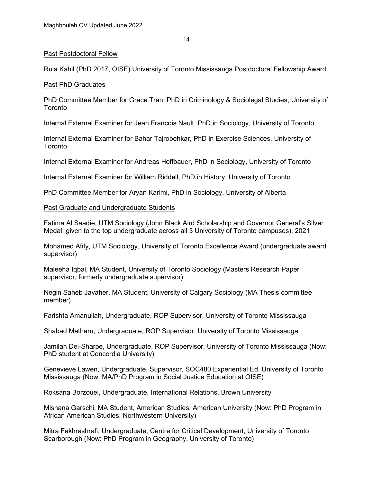#### Past Postdoctoral Fellow

Rula Kahil (PhD 2017, OISE) University of Toronto Mississauga Postdoctoral Fellowship Award

# Past PhD Graduates

PhD Committee Member for Grace Tran, PhD in Criminology & Sociolegal Studies, University of **Toronto** 

Internal External Examiner for Jean Francois Nault, PhD in Sociology, University of Toronto

Internal External Examiner for Bahar Tajrobehkar, PhD in Exercise Sciences, University of **Toronto** 

Internal External Examiner for Andreas Hoffbauer, PhD in Sociology, University of Toronto

Internal External Examiner for William Riddell, PhD in History, University of Toronto

PhD Committee Member for Aryan Karimi, PhD in Sociology, University of Alberta

# Past Graduate and Undergraduate Students

Fatima Al Saadie, UTM Sociology (John Black Aird Scholarship and Governor General's Silver Medal, given to the top undergraduate across all 3 University of Toronto campuses), 2021

Mohamed Afify, UTM Sociology, University of Toronto Excellence Award (undergraduate award supervisor)

Maleeha Iqbal, MA Student, University of Toronto Sociology (Masters Research Paper supervisor, formerly undergraduate supervisor)

Negin Saheb Javaher, MA Student, University of Calgary Sociology (MA Thesis committee member)

Farishta Amanullah, Undergraduate, ROP Supervisor, University of Toronto Mississauga

Shabad Matharu, Undergraduate, ROP Supervisor, University of Toronto Mississauga

Jamilah Dei-Sharpe, Undergraduate, ROP Supervisor, University of Toronto Mississauga (Now: PhD student at Concordia University)

Genevieve Lawen, Undergraduate, Supervisor, SOC480 Experiential Ed, University of Toronto Mississauga (Now: MA/PhD Program in Social Justice Education at OISE)

Roksana Borzouei, Undergraduate, International Relations, Brown University

Mishana Garschi, MA Student, American Studies, American University (Now: PhD Program in African American Studies, Northwestern University)

Mitra Fakhrashrafi, Undergraduate, Centre for Critical Development, University of Toronto Scarborough (Now: PhD Program in Geography, University of Toronto)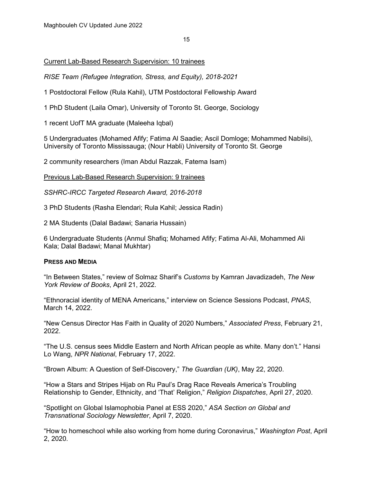# Current Lab-Based Research Supervision: 10 trainees

*RISE Team (Refugee Integration, Stress, and Equity), 2018-2021*

1 Postdoctoral Fellow (Rula Kahil), UTM Postdoctoral Fellowship Award

1 PhD Student (Laila Omar), University of Toronto St. George, Sociology

1 recent UofT MA graduate (Maleeha Iqbal)

5 Undergraduates (Mohamed Afify; Fatima Al Saadie; Ascil Domloge; Mohammed Nabilsi), University of Toronto Mississauga; (Nour Habli) University of Toronto St. George

2 community researchers (Iman Abdul Razzak, Fatema Isam)

Previous Lab-Based Research Supervision: 9 trainees

*SSHRC-IRCC Targeted Research Award, 2016-2018*

3 PhD Students (Rasha Elendari; Rula Kahil; Jessica Radin)

2 MA Students (Dalal Badawi; Sanaria Hussain)

6 Undergraduate Students (Anmul Shafiq; Mohamed Afify; Fatima Al-Ali, Mohammed Ali Kala; Dalal Badawi; Manal Mukhtar)

# **PRESS AND MEDIA**

"In Between States," review of Solmaz Sharif's *Customs* by Kamran Javadizadeh, *The New York Review of Books*, April 21, 2022.

"Ethnoracial identity of MENA Americans," interview on Science Sessions Podcast, *PNAS*, March 14, 2022.

"New Census Director Has Faith in Quality of 2020 Numbers," *Associated Press*, February 21, 2022.

"The U.S. census sees Middle Eastern and North African people as white. Many don't." Hansi Lo Wang, *NPR National*, February 17, 2022.

"Brown Album: A Question of Self-Discovery," *The Guardian (UK)*, May 22, 2020.

"How a Stars and Stripes Hijab on Ru Paul's Drag Race Reveals America's Troubling Relationship to Gender, Ethnicity, and 'That' Religion," *Religion Dispatches*, April 27, 2020.

"Spotlight on Global Islamophobia Panel at ESS 2020," *ASA Section on Global and Transnational Sociology Newsletter*, April 7, 2020.

"How to homeschool while also working from home during Coronavirus," *Washington Post*, April 2, 2020.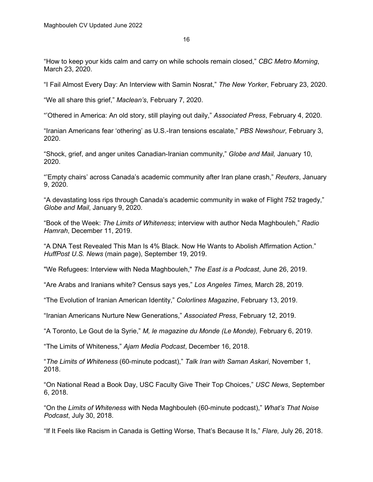"How to keep your kids calm and carry on while schools remain closed," *CBC Metro Morning*, March 23, 2020.

"I Fail Almost Every Day: An Interview with Samin Nosrat," *The New Yorker*, February 23, 2020.

"We all share this grief," *Maclean's*, February 7, 2020.

"'Othered in America: An old story, still playing out daily," *Associated Press*, February 4, 2020.

"Iranian Americans fear 'othering' as U.S.-Iran tensions escalate," *PBS Newshour,* February 3, 2020.

"Shock, grief, and anger unites Canadian-Iranian community," *Globe and Mail,* January 10, 2020.

"'Empty chairs' across Canada's academic community after Iran plane crash," *Reuters*, January 9, 2020.

"A devastating loss rips through Canada's academic community in wake of Flight 752 tragedy," *Globe and Mail*, January 9, 2020.

"Book of the Week: *The Limits of Whiteness*; interview with author Neda Maghbouleh," *Radio Hamrah*, December 11, 2019.

"A DNA Test Revealed This Man Is 4% Black. Now He Wants to Abolish Affirmation Action." *HuffPost U.S. News* (main page), September 19, 2019.

"We Refugees: Interview with Neda Maghbouleh," *The East is a Podcast*, June 26, 2019.

"Are Arabs and Iranians white? Census says yes," *Los Angeles Times,* March 28, 2019.

"The Evolution of Iranian American Identity," *Colorlines Magazine*, February 13, 2019.

"Iranian Americans Nurture New Generations," *Associated Press*, February 12, 2019.

"A Toronto, Le Gout de la Syrie," *M, le magazine du Monde (Le Monde),* February 6, 2019.

"The Limits of Whiteness," *Ajam Media Podcast*, December 16, 2018.

"*The Limits of Whiteness* (60-minute podcast)," *Talk Iran with Saman Askari*, November 1, 2018.

"On National Read a Book Day, USC Faculty Give Their Top Choices," *USC News*, September 6, 2018.

"On the *Limits of Whiteness* with Neda Maghbouleh (60-minute podcast)," *What's That Noise Podcast*, July 30, 2018.

"If It Feels like Racism in Canada is Getting Worse, That's Because It Is," *Flare,* July 26, 2018.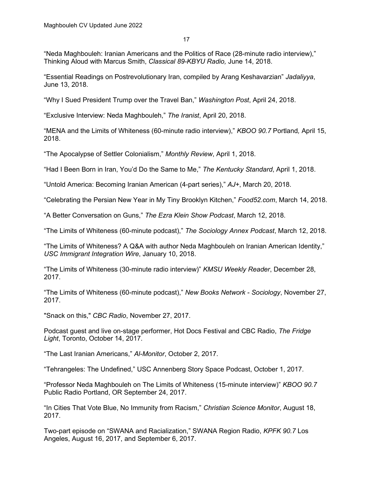"Neda Maghbouleh: Iranian Americans and the Politics of Race (28-minute radio interview)," Thinking Aloud with Marcus Smith, *Classical 89-KBYU Radio,* June 14, 2018.

"Essential Readings on Postrevolutionary Iran, compiled by Arang Keshavarzian" *Jadaliyya*, June 13, 2018.

"Why I Sued President Trump over the Travel Ban," *Washington Post*, April 24, 2018.

"Exclusive Interview: Neda Maghbouleh," *The Iranist*, April 20, 2018.

"MENA and the Limits of Whiteness (60-minute radio interview)," *KBOO 90.7* Portland*,* April 15, 2018.

"The Apocalypse of Settler Colonialism," *Monthly Review*, April 1, 2018.

"Had I Been Born in Iran, You'd Do the Same to Me," *The Kentucky Standard*, April 1, 2018.

"Untold America: Becoming Iranian American (4-part series)," *AJ+*, March 20, 2018.

"Celebrating the Persian New Year in My Tiny Brooklyn Kitchen," *Food52.com*, March 14, 2018.

"A Better Conversation on Guns," *The Ezra Klein Show Podcast*, March 12, 2018.

"The Limits of Whiteness (60-minute podcast)," *The Sociology Annex Podcast*, March 12, 2018.

"The Limits of Whiteness? A Q&A with author Neda Maghbouleh on Iranian American Identity," *USC Immigrant Integration Wire*, January 10, 2018.

"The Limits of Whiteness (30-minute radio interview)" *KMSU Weekly Reader*, December 28, 2017.

"The Limits of Whiteness (60-minute podcast)," *New Books Network - Sociology*, November 27, 2017.

"Snack on this," *CBC Radio*, November 27, 2017.

Podcast guest and live on-stage performer, Hot Docs Festival and CBC Radio, *The Fridge Light*, Toronto, October 14, 2017.

"The Last Iranian Americans," *Al-Monitor*, October 2, 2017.

"Tehrangeles: The Undefined," USC Annenberg Story Space Podcast, October 1, 2017.

"Professor Neda Maghbouleh on The Limits of Whiteness (15-minute interview)" *KBOO 90.7* Public Radio Portland, OR September 24, 2017.

"In Cities That Vote Blue, No Immunity from Racism," *Christian Science Monitor*, August 18, 2017.

Two-part episode on "SWANA and Racialization," SWANA Region Radio, *KPFK 90.7* Los Angeles, August 16, 2017, and September 6, 2017.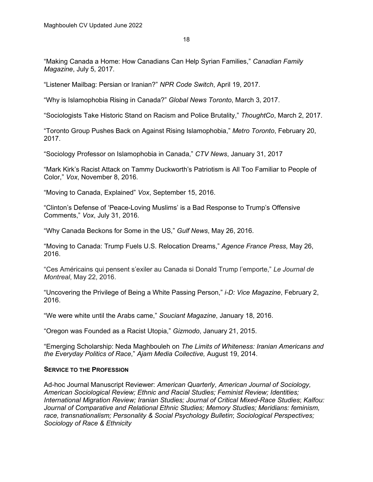"Making Canada a Home: How Canadians Can Help Syrian Families," *Canadian Family Magazine*, July 5, 2017.

"Listener Mailbag: Persian or Iranian?" *NPR Code Switch*, April 19, 2017.

"Why is Islamophobia Rising in Canada?" *Global News Toronto*, March 3, 2017.

"Sociologists Take Historic Stand on Racism and Police Brutality," *ThoughtCo*, March 2, 2017.

"Toronto Group Pushes Back on Against Rising Islamophobia," *Metro Toronto*, February 20, 2017.

"Sociology Professor on Islamophobia in Canada," *CTV News*, January 31, 2017

"Mark Kirk's Racist Attack on Tammy Duckworth's Patriotism is All Too Familiar to People of Color," *Vox*, November 8, 2016.

"Moving to Canada, Explained" *Vox*, September 15, 2016.

"Clinton's Defense of 'Peace-Loving Muslims' is a Bad Response to Trump's Offensive Comments," *Vox*, July 31, 2016.

"Why Canada Beckons for Some in the US," *Gulf News*, May 26, 2016.

"Moving to Canada: Trump Fuels U.S. Relocation Dreams," *Agence France Press*, May 26, 2016.

"Ces Américains qui pensent s'exiler au Canada si Donald Trump l'emporte," *Le Journal de Montreal*, May 22, 2016.

"Uncovering the Privilege of Being a White Passing Person," *i-D: Vice Magazine*, February 2, 2016.

"We were white until the Arabs came," *Souciant Magazine*, January 18, 2016.

"Oregon was Founded as a Racist Utopia," *Gizmodo*, January 21, 2015.

"Emerging Scholarship: Neda Maghbouleh on *The Limits of Whiteness: Iranian Americans and the Everyday Politics of Race*," *Ajam Media Collective,* August 19, 2014.

# **SERVICE TO THE PROFESSION**

Ad-hoc Journal Manuscript Reviewer: *American Quarterly*, *American Journal of Sociology, American Sociological Review; Ethnic and Racial Studies; Feminist Review; Identities; International Migration Review; Iranian Studies; Journal of Critical Mixed-Race Studies*; *Kalfou: Journal of Comparative and Relational Ethnic Studies; Memory Studies; Meridians: feminism, race, transnationalism; Personality & Social Psychology Bulletin*; *Sociological Perspectives; Sociology of Race & Ethnicity*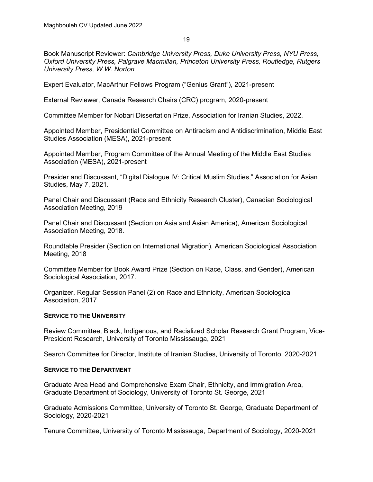Book Manuscript Reviewer: *Cambridge University Press, Duke University Press, NYU Press, Oxford University Press, Palgrave Macmillan, Princeton University Press, Routledge, Rutgers University Press, W.W. Norton*

Expert Evaluator, MacArthur Fellows Program ("Genius Grant"), 2021-present

External Reviewer, Canada Research Chairs (CRC) program, 2020-present

Committee Member for Nobari Dissertation Prize, Association for Iranian Studies, 2022.

Appointed Member, Presidential Committee on Antiracism and Antidiscrimination, Middle East Studies Association (MESA), 2021-present

Appointed Member, Program Committee of the Annual Meeting of the Middle East Studies Association (MESA), 2021-present

Presider and Discussant, "Digital Dialogue IV: Critical Muslim Studies," Association for Asian Studies, May 7, 2021.

Panel Chair and Discussant (Race and Ethnicity Research Cluster), Canadian Sociological Association Meeting, 2019

Panel Chair and Discussant (Section on Asia and Asian America), American Sociological Association Meeting, 2018.

Roundtable Presider (Section on International Migration), American Sociological Association Meeting, 2018

Committee Member for Book Award Prize (Section on Race, Class, and Gender), American Sociological Association, 2017.

Organizer, Regular Session Panel (2) on Race and Ethnicity, American Sociological Association, 2017

#### **SERVICE TO THE UNIVERSITY**

Review Committee, Black, Indigenous, and Racialized Scholar Research Grant Program, Vice-President Research, University of Toronto Mississauga, 2021

Search Committee for Director, Institute of Iranian Studies, University of Toronto, 2020-2021

#### **SERVICE TO THE DEPARTMENT**

Graduate Area Head and Comprehensive Exam Chair, Ethnicity, and Immigration Area, Graduate Department of Sociology, University of Toronto St. George, 2021

Graduate Admissions Committee, University of Toronto St. George, Graduate Department of Sociology, 2020-2021

Tenure Committee, University of Toronto Mississauga, Department of Sociology, 2020-2021